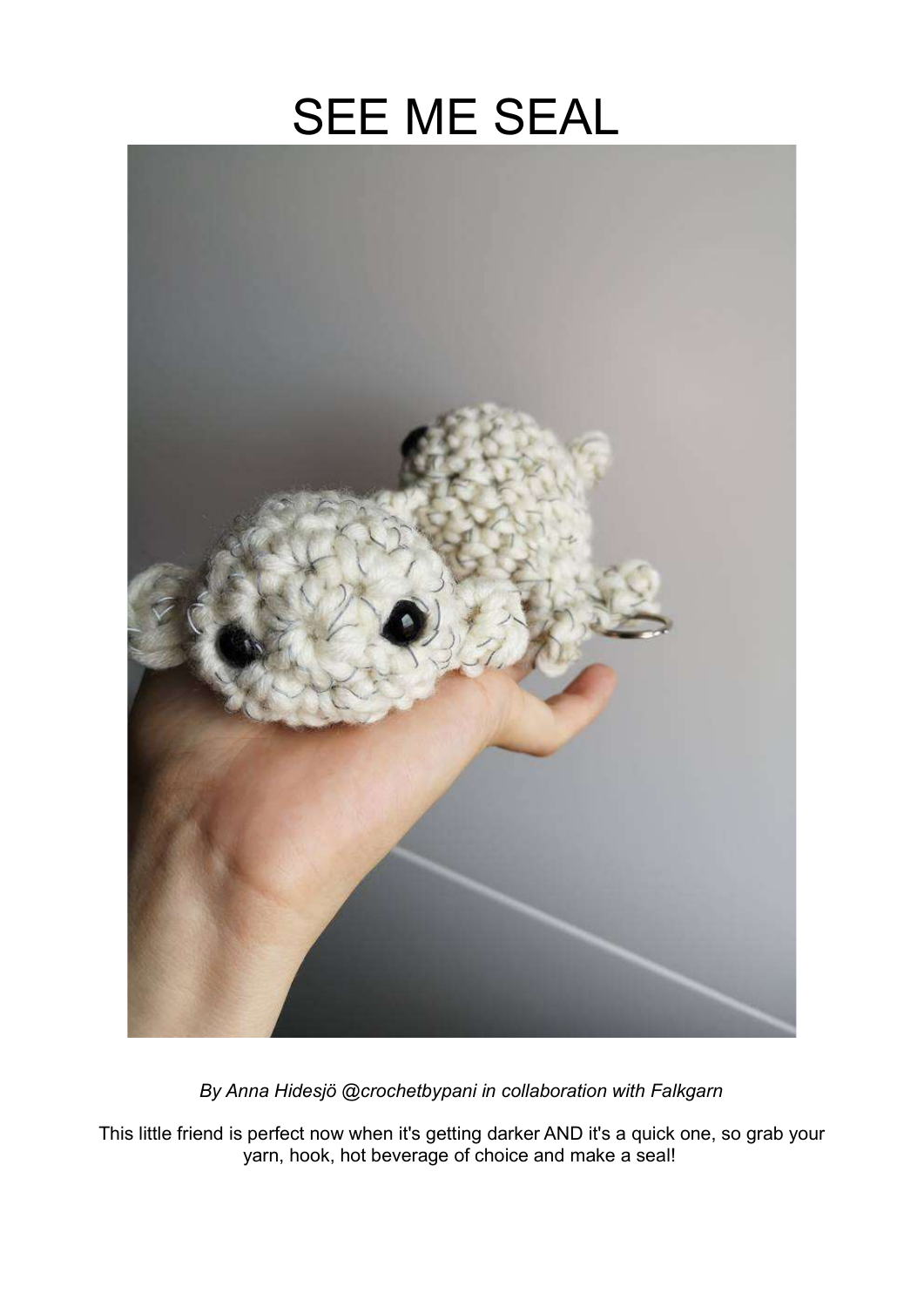# SEE ME SEAL



By Anna Hidesjö @crochetbypani in collaboration with Falkgarn

This little friend is perfect now when it's getting darker AND it's a quick one, so grab your yarn, hook, hot beverage of choice and make a seal!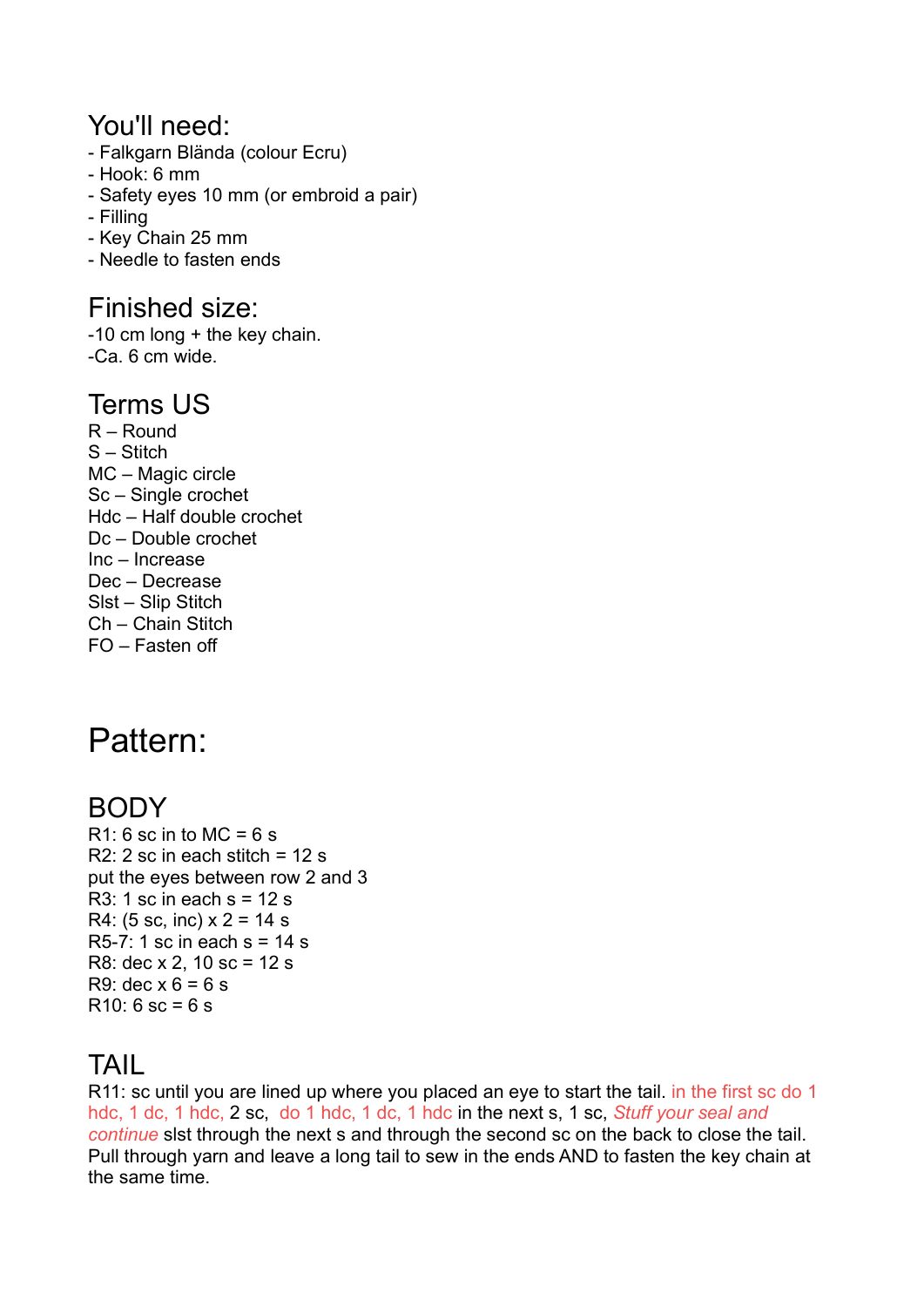#### You'll need:

- Falkgarn Blända (colour Ecru)
- Hook: 6 mm
- Safety eyes 10 mm (or embroid a pair)
- Filling
- Key Chain 25 mm
- Needle to fasten ends

#### Finished size:

-10 cm long + the key chain. -Ca. 6 cm wide.

#### Terms US

R – Round S – Stitch MC – Magic circle Sc – Single crochet Hdc – Half double crochet Dc – Double crochet Inc – Increase Dec – Decrease Slst – Slip Stitch Ch – Chain Stitch FO – Fasten off

## Pattern:

### BODY

 $R1: 6$  sc in to MC = 6 s R2: 2 sc in each stitch  $= 12$  s put the eyes between row 2 and 3  $R3: 1$  sc in each s = 12 s R4: (5 sc, inc)  $x = 14$  s R5-7: 1 sc in each  $s = 14 s$ R8: dec x 2, 10 sc = 12 s R9: dec  $x 6 = 6 s$  $R10: 6$  sc = 6 s

## TAIL

R11: sc until you are lined up where you placed an eye to start the tail. in the first sc do 1 hdc, 1 dc, 1 hdc, 2 sc, do 1 hdc, 1 dc, 1 hdc in the next s, 1 sc, Stuff your seal and continue slst through the next s and through the second sc on the back to close the tail. Pull through yarn and leave a long tail to sew in the ends AND to fasten the key chain at the same time.